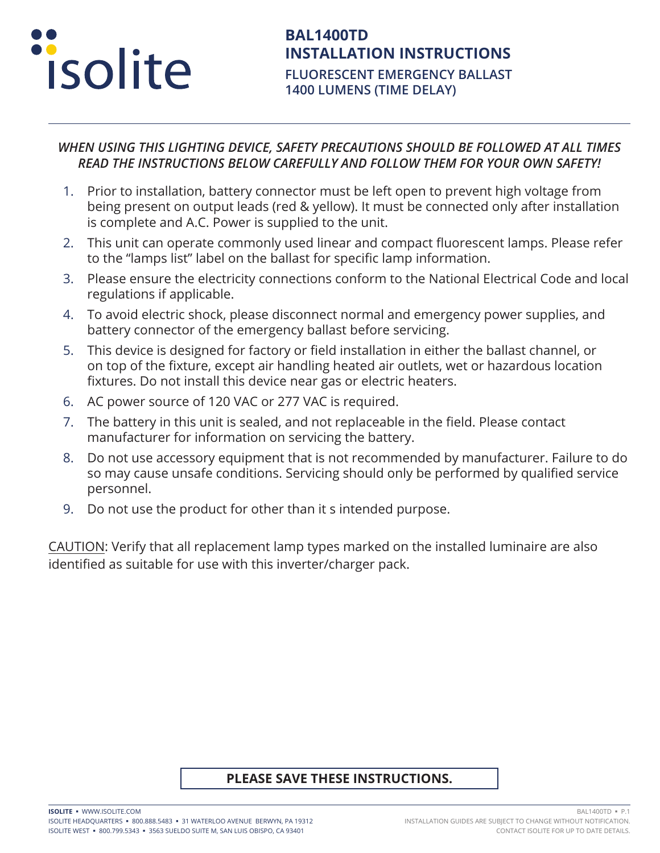

#### *WHEN USING THIS LIGHTING DEVICE, SAFETY PRECAUTIONS SHOULD BE FOLLOWED AT ALL TIMES READ THE INSTRUCTIONS BELOW CAREFULLY AND FOLLOW THEM FOR YOUR OWN SAFETY!*

- 1. Prior to installation, battery connector must be left open to prevent high voltage from being present on output leads (red & yellow). It must be connected only after installation is complete and A.C. Power is supplied to the unit.
- 2. This unit can operate commonly used linear and compact fluorescent lamps. Please refer to the "lamps list" label on the ballast for specific lamp information.
- 3. Please ensure the electricity connections conform to the National Electrical Code and local regulations if applicable.
- 4. To avoid electric shock, please disconnect normal and emergency power supplies, and battery connector of the emergency ballast before servicing.
- 5. This device is designed for factory or field installation in either the ballast channel, or on top of the fixture, except air handling heated air outlets, wet or hazardous location fixtures. Do not install this device near gas or electric heaters.
- 6. AC power source of 120 VAC or 277 VAC is required.
- 7. The battery in this unit is sealed, and not replaceable in the field. Please contact manufacturer for information on servicing the battery.
- 8. Do not use accessory equipment that is not recommended by manufacturer. Failure to do so may cause unsafe conditions. Servicing should only be performed by qualified service personnel.
- 9. Do not use the product for other than it s intended purpose.

CAUTION: Verify that all replacement lamp types marked on the installed luminaire are also identified as suitable for use with this inverter/charger pack.

#### **PLEASE SAVE THESE INSTRUCTIONS.**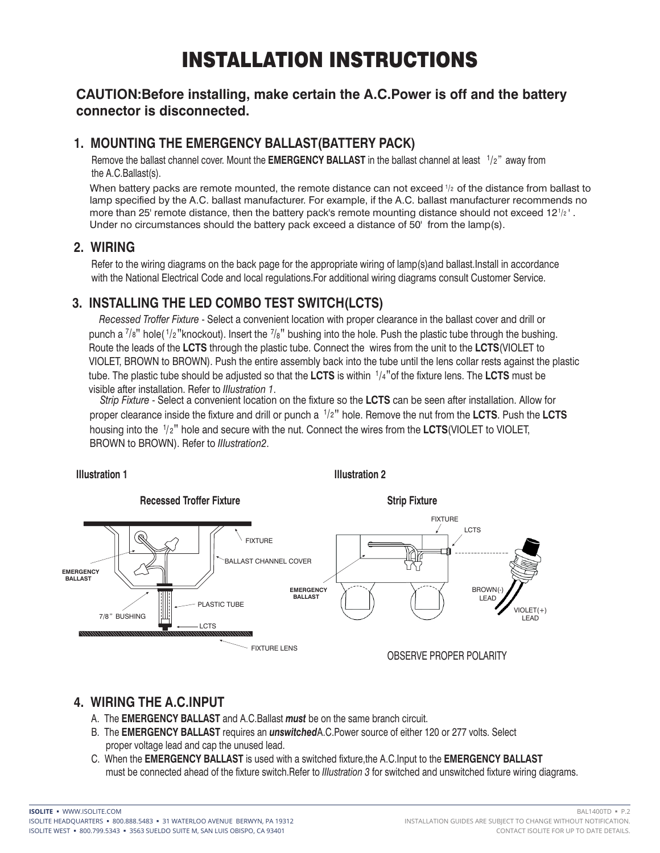## INSTALLATION INSTRUCTIONS

#### **CAUTION:Before installing, make certain the A.C.Power is off and the battery connector is disconnected.**

#### **1. MOUNTING THE EMERGENCY BALLAST(BATTERY PACK)**

Remove the ballast channel cover. Mount the **EMERGENCY BALLAST** in the ballast channel at least <sup>1</sup>/2" away from the A.C.Ballast(s).

When battery packs are remote mounted, the remote distance can not exceed  $\frac{1}{2}$  of the distance from ballast to lamp specified by the A.C. ballast manufacturer. For example, if the A.C. ballast manufacturer recommends no more than 25' remote distance, then the battery pack's remote mounting distance should not exceed  $12$ <sup>1/2</sup>. Under no circumstances should the battery pack exceed a distance of 50' from the lamp(s).

#### **2. WIRING**

Refer to the wiring diagrams on the back page for the appropriate wiring of lamp(s)and ballast.Install in accordance with the National Electrical Code and local regulations.For additional wiring diagrams consult Customer Service.

#### **3. INSTALLING THE LED COMBO TEST SWITCH(LCTS)**

 *Recessed Troffer Fixture* - Select a convenient location with proper clearance in the ballast cover and drill or punch a  $^{7}/s"$  hole( $^{1}/2"$ knockout). Insert the  $^{7}/s"$  bushing into the hole. Push the plastic tube through the bushing. Route the leads of the **LCTS** through the plastic tube. Connect the wires from the unit to the **LCTS**(VIOLET to VIOLET, BROWN to BROWN). Push the entire assembly back into the tube until the lens collar rests against the plastic tube. The plastic tube should be adjusted so that the **LCTS** is within 1/4"of the fixture lens. The **LCTS** must be visible after installation. Refer to *IIIustration 1*.

 *Strip Fixture* - Select a convenient location on the fixture so the **LCTS** can be seen after installation. Allow for proper clearance inside the fixture and drill or punch a <sup>1</sup>/2" hole. Remove the nut from the LCTS. Push the LCTS housing into the <sup>1</sup>/2" hole and secure with the nut. Connect the wires from the LCTS(VIOLET to VIOLET, BROWN to BROWN). Refer to *IIIustration2*.



#### **4. WIRING THE A.C.INPUT**

- A. The **EMERGENCY BALLAST** and A.C.Ballast *must* be on the same branch circuit.
- B. The **EMERGENCY BALLAST** requires an *unswitched*A.C.Power source of either 120 or 277 volts. Select proper voltage lead and cap the unused lead.
- C. When the **EMERGENCY BALLAST** is used with a switched fixture,the A.C.Input to the **EMERGENCY BALLAST** must be connected ahead of the fixture switch.Refer to *IIIustration 3* for switched and unswitched fixture wiring diagrams.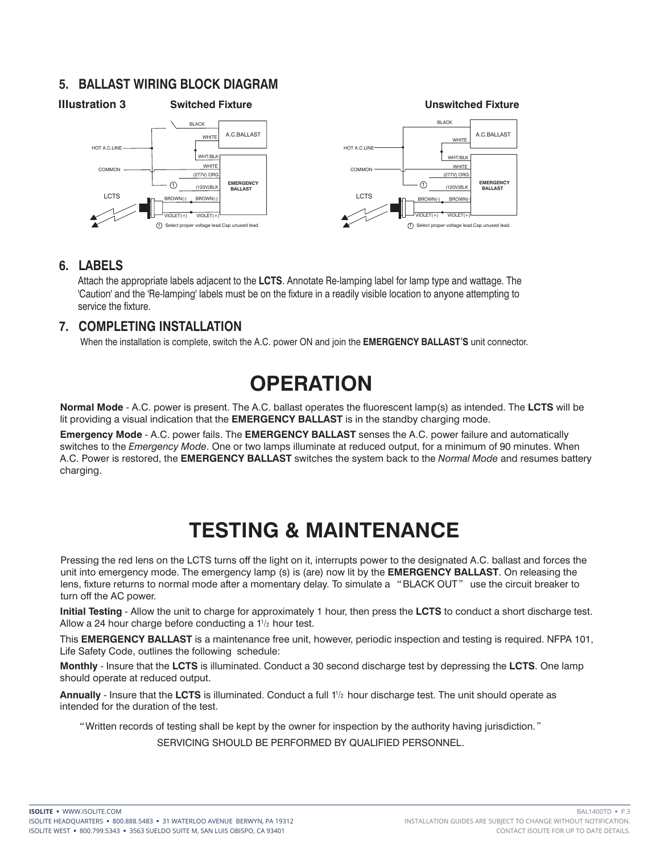#### **5. BALLAST WIRING BLOCK DIAGRAM**



#### **6. LABELS**

Attach the appropriate labels adjacent to the **LCTS**. Annotate Re-lamping label for lamp type and wattage. The 'Caution' and the 'Re-lamping' labels must be on the fixture in a readily visible location to anyone attempting to service the fixture.

#### **7. COMPLETING INSTALLATION**

When the installation is complete, switch the A.C. power ON and join the **EMERGENCY BALLAST**'**S** unit connector.

## **OPERATION**

**Normal Mode** - A.C. power is present. The A.C. ballast operates the fluorescent lamp(s) as intended. The **LCTS** will be lit providing a visual indication that the **EMERGENCY BALLAST** is in the standby charging mode.

**Emergency Mode** - A.C. power fails. The **EMERGENCY BALLAST** senses the A.C. power failure and automatically switches to the *Emergency Mode*. One or two lamps illuminate at reduced output, for a minimum of 90 minutes. When A.C. Power is restored, the **EMERGENCY BALLAST** switches the system back to the *Normal Mode* and resumes battery charging.

## **TESTING & MAINTENANCE**

Pressing the red lens on the LCTS turns off the light on it, interrupts power to the designated A.C. ballast and forces the unit into emergency mode. The emergency lamp (s) is (are) now lit by the **EMERGENCY BALLAST**. On releasing the lens, fixture returns to normal mode after a momentary delay. To simulate a "BLACK OUT" use the circuit breaker to turn off the AC power.

**Initial Testing** - Allow the unit to charge for approximately 1 hour, then press the **LCTS** to conduct a short discharge test. Allow a 24 hour charge before conducting a  $1^{1/2}$  hour test.

This **EMERGENCY BALLAST** is a maintenance free unit, however, periodic inspection and testing is required. NFPA 101, Life Safety Code, outlines the following schedule:

**Monthly** - Insure that the **LCTS** is illuminated. Conduct a 30 second discharge test by depressing the **LCTS**. One lamp should operate at reduced output.

Annually - Insure that the LCTS is illuminated. Conduct a full 1<sup>1</sup>/<sub>2</sub> hour discharge test. The unit should operate as intended for the duration of the test.

"Written records of testing shall be kept by the owner for inspection by the authority having jurisdiction."

SERVICING SHOULD BE PERFORMED BY QUALIFIED PERSONNEL.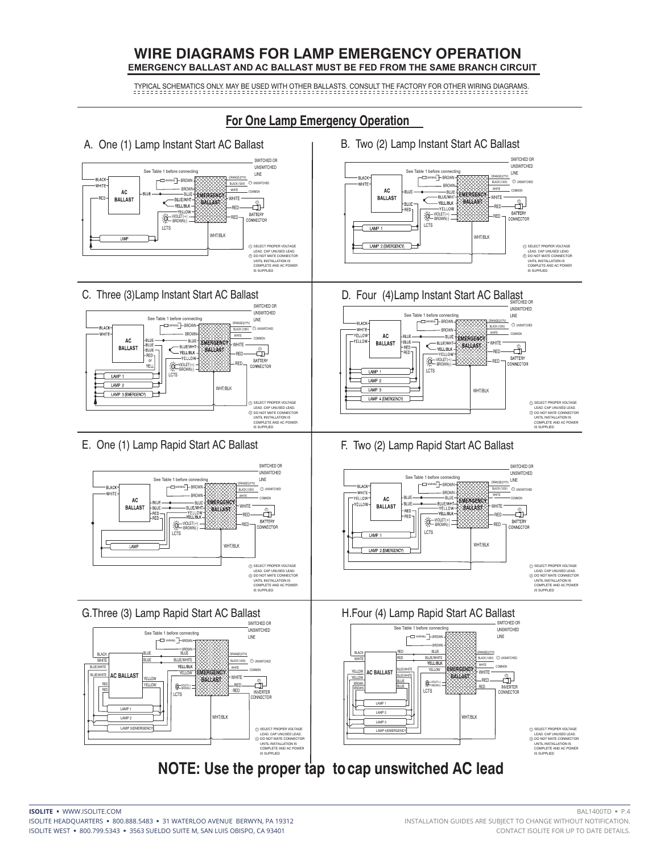#### **WIRE DIAGRAMS FOR LAMP EMERGENCY OPERATION EMERGENCY BALLAST AND AC BALLAST MUST BE FED FROM THE SAME BRANCH CIRCUIT**

TYPICAL SCHEMATICS ONLY. MAY BE USED WITH OTHER BALLASTS. CONSULT THE FACTORY FOR OTHER WIRING DIAGRAMS.

#### **For One Lamp Emergency Operation**

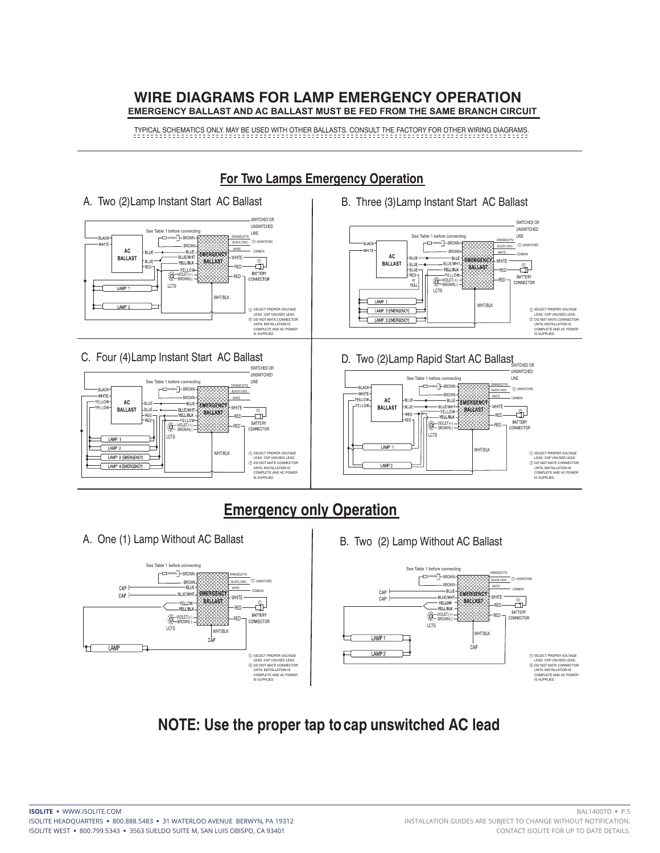#### **WIRE DIAGRAMS FOR LAMP EMERGENCY OPERATION EMERGENCY BALLAST AND AC BALLAST MUST BE FED FROM THE SAME BRANCH CIRCUIT**

TYPICAL SCHEMATICS ONLY. MAY BE USED WITH OTHER BALLASTS. CONSULT THE FACTORY FOR OTHER WIRING DIAGRAMS.



#### **For Two Lamps Emergency Operation**

![](_page_4_Figure_4.jpeg)

![](_page_4_Figure_5.jpeg)

### **NOTE: Use the proper tap to cap unswitched AC lead**